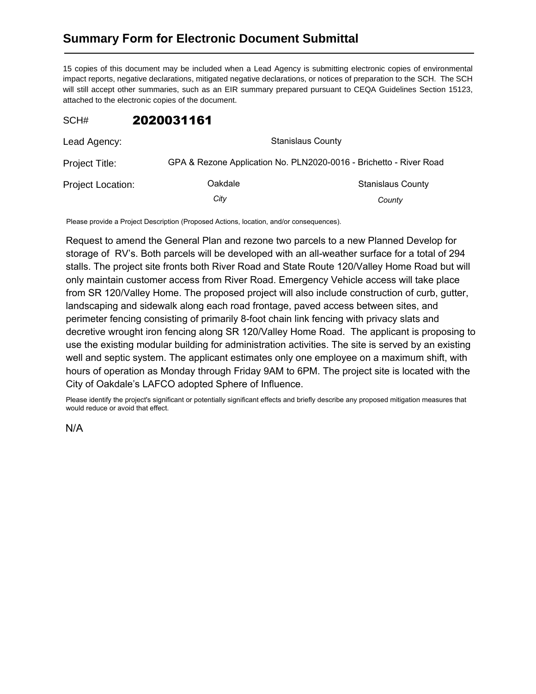## **Summary Form for Electronic Document Submittal**

15 copies of this document may be included when a Lead Agency is submitting electronic copies of environmental impact reports, negative declarations, mitigated negative declarations, or notices of preparation to the SCH. The SCH will still accept other summaries, such as an EIR summary prepared pursuant to CEQA Guidelines Section 15123, attached to the electronic copies of the document.

## SCH# 2020031161

| Lead Agency:             | <b>Stanislaus County</b>                                           |                          |
|--------------------------|--------------------------------------------------------------------|--------------------------|
| Project Title:           | GPA & Rezone Application No. PLN2020-0016 - Brichetto - River Road |                          |
| <b>Project Location:</b> | Oakdale                                                            | <b>Stanislaus County</b> |
|                          | City                                                               | County                   |

Please provide a Project Description (Proposed Actions, location, and/or consequences).

Request to amend the General Plan and rezone two parcels to a new Planned Develop for storage of RV's. Both parcels will be developed with an all-weather surface for a total of 294 stalls. The project site fronts both River Road and State Route 120/Valley Home Road but will only maintain customer access from River Road. Emergency Vehicle access will take place from SR 120/Valley Home. The proposed project will also include construction of curb, gutter, landscaping and sidewalk along each road frontage, paved access between sites, and perimeter fencing consisting of primarily 8-foot chain link fencing with privacy slats and decretive wrought iron fencing along SR 120/Valley Home Road. The applicant is proposing to use the existing modular building for administration activities. The site is served by an existing well and septic system. The applicant estimates only one employee on a maximum shift, with hours of operation as Monday through Friday 9AM to 6PM. The project site is located with the City of Oakdale's LAFCO adopted Sphere of Influence.

Please identify the project's significant or potentially significant effects and briefly describe any proposed mitigation measures that would reduce or avoid that effect.

N/A